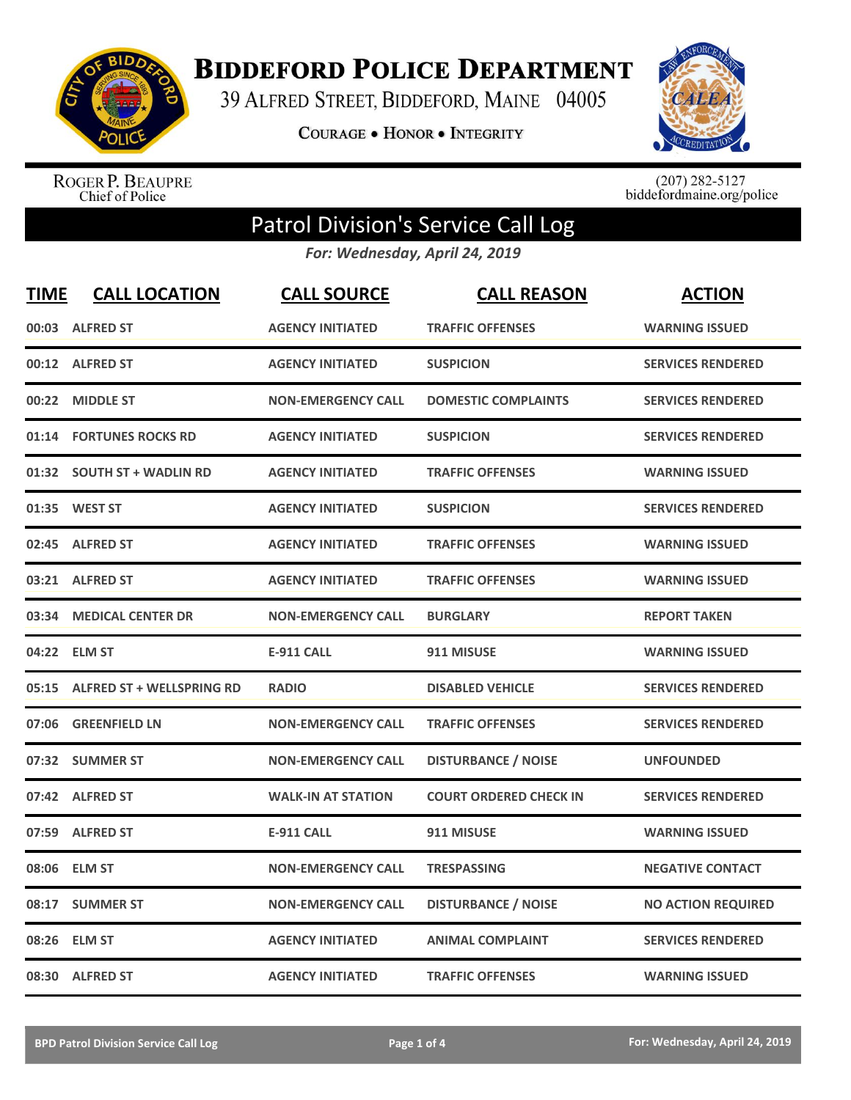

**BIDDEFORD POLICE DEPARTMENT** 

39 ALFRED STREET, BIDDEFORD, MAINE 04005

**COURAGE . HONOR . INTEGRITY** 



ROGER P. BEAUPRE<br>Chief of Police

 $(207)$  282-5127<br>biddefordmaine.org/police

## Patrol Division's Service Call Log

*For: Wednesday, April 24, 2019*

| <b>TIME</b> | <b>CALL LOCATION</b>            | <b>CALL SOURCE</b>        | <b>CALL REASON</b>            | <b>ACTION</b>             |
|-------------|---------------------------------|---------------------------|-------------------------------|---------------------------|
|             | 00:03 ALFRED ST                 | <b>AGENCY INITIATED</b>   | <b>TRAFFIC OFFENSES</b>       | <b>WARNING ISSUED</b>     |
|             | 00:12 ALFRED ST                 | <b>AGENCY INITIATED</b>   | <b>SUSPICION</b>              | <b>SERVICES RENDERED</b>  |
| 00:22       | <b>MIDDLE ST</b>                | <b>NON-EMERGENCY CALL</b> | <b>DOMESTIC COMPLAINTS</b>    | <b>SERVICES RENDERED</b>  |
| 01:14       | <b>FORTUNES ROCKS RD</b>        | <b>AGENCY INITIATED</b>   | <b>SUSPICION</b>              | <b>SERVICES RENDERED</b>  |
|             | 01:32 SOUTH ST + WADLIN RD      | <b>AGENCY INITIATED</b>   | <b>TRAFFIC OFFENSES</b>       | <b>WARNING ISSUED</b>     |
|             | 01:35 WEST ST                   | <b>AGENCY INITIATED</b>   | <b>SUSPICION</b>              | <b>SERVICES RENDERED</b>  |
| 02:45       | <b>ALFRED ST</b>                | <b>AGENCY INITIATED</b>   | <b>TRAFFIC OFFENSES</b>       | <b>WARNING ISSUED</b>     |
|             | 03:21 ALFRED ST                 | <b>AGENCY INITIATED</b>   | <b>TRAFFIC OFFENSES</b>       | <b>WARNING ISSUED</b>     |
| 03:34       | <b>MEDICAL CENTER DR</b>        | <b>NON-EMERGENCY CALL</b> | <b>BURGLARY</b>               | <b>REPORT TAKEN</b>       |
|             | 04:22 ELM ST                    | <b>E-911 CALL</b>         | 911 MISUSE                    | <b>WARNING ISSUED</b>     |
|             | 05:15 ALFRED ST + WELLSPRING RD | <b>RADIO</b>              | <b>DISABLED VEHICLE</b>       | <b>SERVICES RENDERED</b>  |
| 07:06       | <b>GREENFIELD LN</b>            | <b>NON-EMERGENCY CALL</b> | <b>TRAFFIC OFFENSES</b>       | <b>SERVICES RENDERED</b>  |
|             | 07:32 SUMMER ST                 | <b>NON-EMERGENCY CALL</b> | <b>DISTURBANCE / NOISE</b>    | <b>UNFOUNDED</b>          |
| 07:42       | <b>ALFRED ST</b>                | <b>WALK-IN AT STATION</b> | <b>COURT ORDERED CHECK IN</b> | <b>SERVICES RENDERED</b>  |
| 07:59       | <b>ALFRED ST</b>                | <b>E-911 CALL</b>         | 911 MISUSE                    | <b>WARNING ISSUED</b>     |
| 08:06       | <b>ELM ST</b>                   | <b>NON-EMERGENCY CALL</b> | <b>TRESPASSING</b>            | <b>NEGATIVE CONTACT</b>   |
| 08:17       | <b>SUMMER ST</b>                | <b>NON-EMERGENCY CALL</b> | <b>DISTURBANCE / NOISE</b>    | <b>NO ACTION REQUIRED</b> |
| 08:26       | <b>ELM ST</b>                   | <b>AGENCY INITIATED</b>   | <b>ANIMAL COMPLAINT</b>       | <b>SERVICES RENDERED</b>  |
|             | 08:30 ALFRED ST                 | <b>AGENCY INITIATED</b>   | <b>TRAFFIC OFFENSES</b>       | <b>WARNING ISSUED</b>     |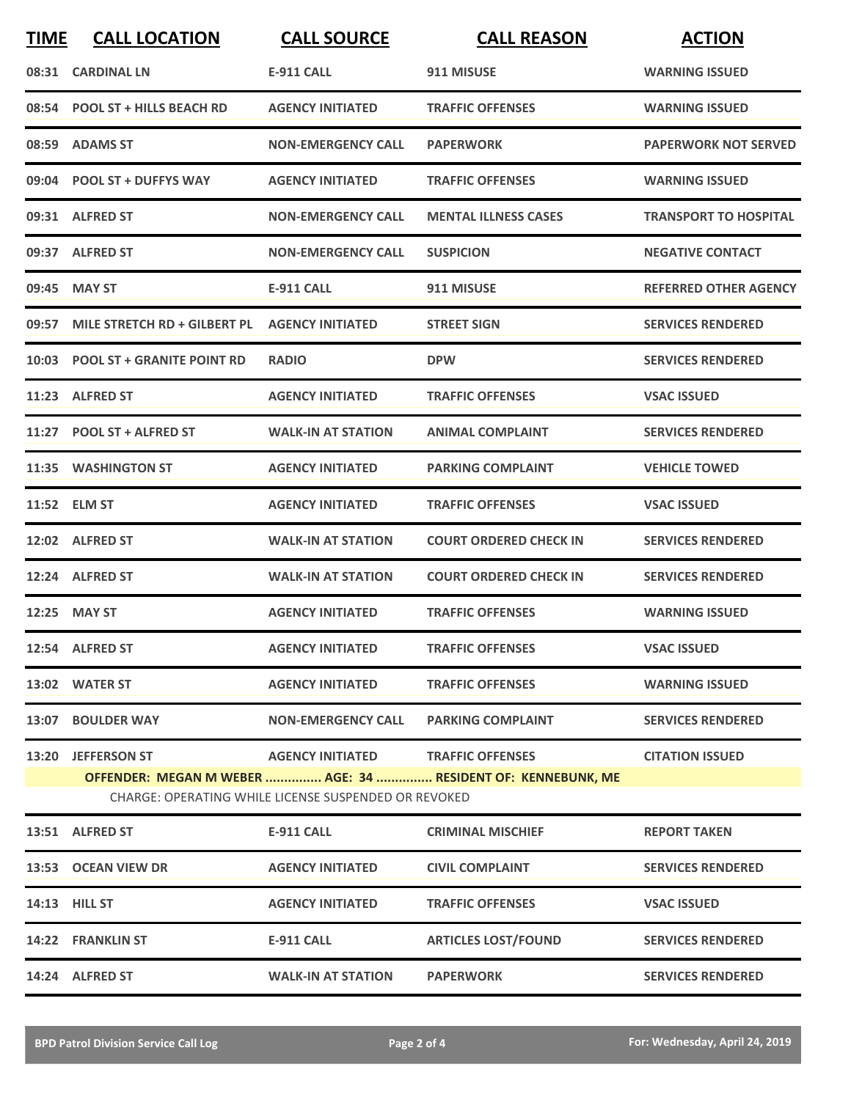| <b>TIME</b> | <b>CALL LOCATION</b>               | <b>CALL SOURCE</b>                                   | <b>CALL REASON</b>                                           | <b>ACTION</b>                |
|-------------|------------------------------------|------------------------------------------------------|--------------------------------------------------------------|------------------------------|
|             | 08:31 CARDINAL LN                  | <b>E-911 CALL</b>                                    | 911 MISUSE                                                   | <b>WARNING ISSUED</b>        |
|             | 08:54 POOL ST + HILLS BEACH RD     | <b>AGENCY INITIATED</b>                              | <b>TRAFFIC OFFENSES</b>                                      | <b>WARNING ISSUED</b>        |
|             | 08:59 ADAMS ST                     | <b>NON-EMERGENCY CALL</b>                            | <b>PAPERWORK</b>                                             | <b>PAPERWORK NOT SERVED</b>  |
|             | 09:04 POOL ST + DUFFYS WAY         | <b>AGENCY INITIATED</b>                              | <b>TRAFFIC OFFENSES</b>                                      | <b>WARNING ISSUED</b>        |
|             | 09:31 ALFRED ST                    | <b>NON-EMERGENCY CALL</b>                            | <b>MENTAL ILLNESS CASES</b>                                  | <b>TRANSPORT TO HOSPITAL</b> |
|             | 09:37 ALFRED ST                    | <b>NON-EMERGENCY CALL</b>                            | <b>SUSPICION</b>                                             | <b>NEGATIVE CONTACT</b>      |
|             | 09:45 MAY ST                       | <b>E-911 CALL</b>                                    | 911 MISUSE                                                   | <b>REFERRED OTHER AGENCY</b> |
|             | 09:57 MILE STRETCH RD + GILBERT PL | <b>AGENCY INITIATED</b>                              | <b>STREET SIGN</b>                                           | <b>SERVICES RENDERED</b>     |
|             | 10:03 POOL ST + GRANITE POINT RD   | <b>RADIO</b>                                         | <b>DPW</b>                                                   | <b>SERVICES RENDERED</b>     |
|             | 11:23 ALFRED ST                    | <b>AGENCY INITIATED</b>                              | <b>TRAFFIC OFFENSES</b>                                      | <b>VSAC ISSUED</b>           |
|             | 11:27 POOL ST + ALFRED ST          | <b>WALK-IN AT STATION</b>                            | <b>ANIMAL COMPLAINT</b>                                      | <b>SERVICES RENDERED</b>     |
|             | 11:35 WASHINGTON ST                | <b>AGENCY INITIATED</b>                              | <b>PARKING COMPLAINT</b>                                     | <b>VEHICLE TOWED</b>         |
|             | 11:52 ELM ST                       | <b>AGENCY INITIATED</b>                              | <b>TRAFFIC OFFENSES</b>                                      | <b>VSAC ISSUED</b>           |
|             | 12:02 ALFRED ST                    | <b>WALK-IN AT STATION</b>                            | <b>COURT ORDERED CHECK IN</b>                                | <b>SERVICES RENDERED</b>     |
|             | 12:24 ALFRED ST                    | <b>WALK-IN AT STATION</b>                            | <b>COURT ORDERED CHECK IN</b>                                | <b>SERVICES RENDERED</b>     |
|             | 12:25 MAY ST                       | <b>AGENCY INITIATED</b>                              | <b>TRAFFIC OFFENSES</b>                                      | <b>WARNING ISSUED</b>        |
|             | 12:54 ALFRED ST                    | <b>AGENCY INITIATED</b>                              | <b>TRAFFIC OFFENSES</b>                                      | <b>VSAC ISSUED</b>           |
|             | 13:02 WATER ST                     | <b>AGENCY INITIATED</b>                              | <b>TRAFFIC OFFENSES</b>                                      | <b>WARNING ISSUED</b>        |
|             | 13:07 BOULDER WAY                  |                                                      | NON-EMERGENCY CALL PARKING COMPLAINT                         | <b>SERVICES RENDERED</b>     |
|             | 13:20 JEFFERSON ST                 | AGENCY INITIATED TRAFFIC OFFENSES                    |                                                              | <b>CITATION ISSUED</b>       |
|             |                                    | CHARGE: OPERATING WHILE LICENSE SUSPENDED OR REVOKED | OFFENDER: MEGAN M WEBER  AGE: 34  RESIDENT OF: KENNEBUNK, ME |                              |
|             | 13:51 ALFRED ST                    | E-911 CALL                                           | <b>CRIMINAL MISCHIEF</b>                                     | <b>REPORT TAKEN</b>          |
|             | 13:53 OCEAN VIEW DR                | <b>AGENCY INITIATED</b>                              | <b>CIVIL COMPLAINT</b>                                       | <b>SERVICES RENDERED</b>     |
|             | 14:13 HILL ST                      | <b>AGENCY INITIATED</b>                              | <b>TRAFFIC OFFENSES</b>                                      | <b>VSAC ISSUED</b>           |
|             | 14:22 FRANKLIN ST                  | E-911 CALL                                           | <b>ARTICLES LOST/FOUND</b>                                   | <b>SERVICES RENDERED</b>     |
|             | 14:24 ALFRED ST                    | <b>WALK-IN AT STATION</b>                            | <b>PAPERWORK</b>                                             | <b>SERVICES RENDERED</b>     |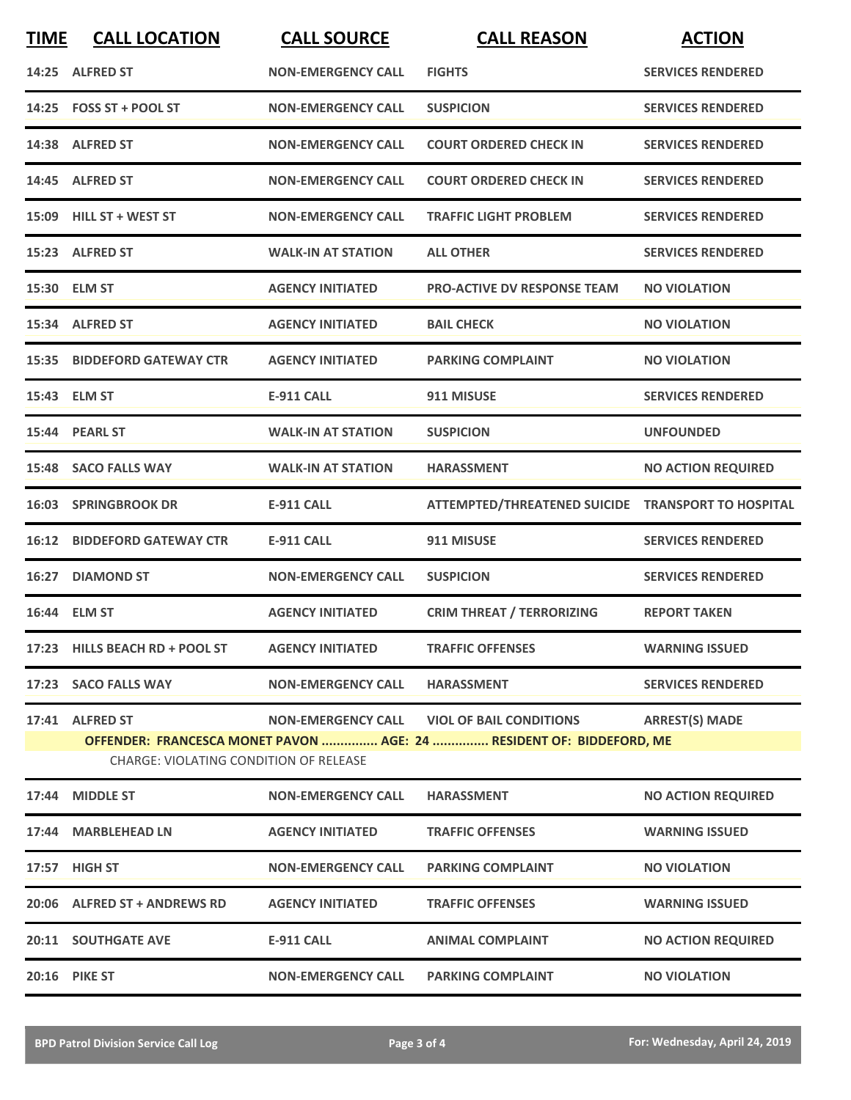| <b>TIME</b> | <b>CALL LOCATION</b>                                                                                                                                              | <b>CALL SOURCE</b>        | <b>CALL REASON</b>                                 | <b>ACTION</b>             |  |
|-------------|-------------------------------------------------------------------------------------------------------------------------------------------------------------------|---------------------------|----------------------------------------------------|---------------------------|--|
|             | 14:25 ALFRED ST                                                                                                                                                   | <b>NON-EMERGENCY CALL</b> | <b>FIGHTS</b>                                      | <b>SERVICES RENDERED</b>  |  |
|             | 14:25 FOSS ST + POOL ST                                                                                                                                           | <b>NON-EMERGENCY CALL</b> | <b>SUSPICION</b>                                   | <b>SERVICES RENDERED</b>  |  |
|             | 14:38 ALFRED ST                                                                                                                                                   | <b>NON-EMERGENCY CALL</b> | <b>COURT ORDERED CHECK IN</b>                      | <b>SERVICES RENDERED</b>  |  |
|             | 14:45 ALFRED ST                                                                                                                                                   | <b>NON-EMERGENCY CALL</b> | <b>COURT ORDERED CHECK IN</b>                      | <b>SERVICES RENDERED</b>  |  |
|             | 15:09 HILL ST + WEST ST                                                                                                                                           | <b>NON-EMERGENCY CALL</b> | <b>TRAFFIC LIGHT PROBLEM</b>                       | <b>SERVICES RENDERED</b>  |  |
|             | 15:23 ALFRED ST                                                                                                                                                   | <b>WALK-IN AT STATION</b> | <b>ALL OTHER</b>                                   | <b>SERVICES RENDERED</b>  |  |
|             | 15:30 ELM ST                                                                                                                                                      | <b>AGENCY INITIATED</b>   | <b>PRO-ACTIVE DV RESPONSE TEAM</b>                 | <b>NO VIOLATION</b>       |  |
|             | 15:34 ALFRED ST                                                                                                                                                   | <b>AGENCY INITIATED</b>   | <b>BAIL CHECK</b>                                  | <b>NO VIOLATION</b>       |  |
|             | 15:35 BIDDEFORD GATEWAY CTR                                                                                                                                       | <b>AGENCY INITIATED</b>   | <b>PARKING COMPLAINT</b>                           | <b>NO VIOLATION</b>       |  |
|             | 15:43 ELM ST                                                                                                                                                      | <b>E-911 CALL</b>         | 911 MISUSE                                         | <b>SERVICES RENDERED</b>  |  |
|             | 15:44 PEARL ST                                                                                                                                                    | <b>WALK-IN AT STATION</b> | <b>SUSPICION</b>                                   | <b>UNFOUNDED</b>          |  |
|             | 15:48 SACO FALLS WAY                                                                                                                                              | <b>WALK-IN AT STATION</b> | <b>HARASSMENT</b>                                  | <b>NO ACTION REQUIRED</b> |  |
|             | <b>16:03 SPRINGBROOK DR</b>                                                                                                                                       | <b>E-911 CALL</b>         | ATTEMPTED/THREATENED SUICIDE TRANSPORT TO HOSPITAL |                           |  |
|             | <b>16:12 BIDDEFORD GATEWAY CTR</b>                                                                                                                                | <b>E-911 CALL</b>         | 911 MISUSE                                         | <b>SERVICES RENDERED</b>  |  |
| 16:27       | <b>DIAMOND ST</b>                                                                                                                                                 | <b>NON-EMERGENCY CALL</b> | <b>SUSPICION</b>                                   | <b>SERVICES RENDERED</b>  |  |
|             | 16:44 ELM ST                                                                                                                                                      | <b>AGENCY INITIATED</b>   | <b>CRIM THREAT / TERRORIZING</b>                   | <b>REPORT TAKEN</b>       |  |
|             | 17:23 HILLS BEACH RD + POOL ST AGENCY INITIATED                                                                                                                   |                           | <b>TRAFFIC OFFENSES</b>                            | <b>WARNING ISSUED</b>     |  |
|             | 17:23 SACO FALLS WAY                                                                                                                                              | <b>NON-EMERGENCY CALL</b> | <b>HARASSMENT</b>                                  | <b>SERVICES RENDERED</b>  |  |
|             | 17:41 ALFRED ST<br><b>ARREST(S) MADE</b><br>OFFENDER: FRANCESCA MONET PAVON  AGE: 24  RESIDENT OF: BIDDEFORD, ME<br><b>CHARGE: VIOLATING CONDITION OF RELEASE</b> |                           |                                                    |                           |  |
|             | 17:44 MIDDLE ST                                                                                                                                                   | <b>NON-EMERGENCY CALL</b> | <b>HARASSMENT</b>                                  | <b>NO ACTION REQUIRED</b> |  |
|             | 17:44 MARBLEHEAD LN                                                                                                                                               | <b>AGENCY INITIATED</b>   | <b>TRAFFIC OFFENSES</b>                            | <b>WARNING ISSUED</b>     |  |
|             | 17:57 HIGH ST                                                                                                                                                     | <b>NON-EMERGENCY CALL</b> | <b>PARKING COMPLAINT</b>                           | <b>NO VIOLATION</b>       |  |
|             | 20:06 ALFRED ST + ANDREWS RD                                                                                                                                      | <b>AGENCY INITIATED</b>   | <b>TRAFFIC OFFENSES</b>                            | <b>WARNING ISSUED</b>     |  |
|             | <b>20:11 SOUTHGATE AVE</b>                                                                                                                                        | E-911 CALL                | <b>ANIMAL COMPLAINT</b>                            | <b>NO ACTION REQUIRED</b> |  |
|             | <b>20:16 PIKE ST</b>                                                                                                                                              | <b>NON-EMERGENCY CALL</b> | <b>PARKING COMPLAINT</b>                           | <b>NO VIOLATION</b>       |  |